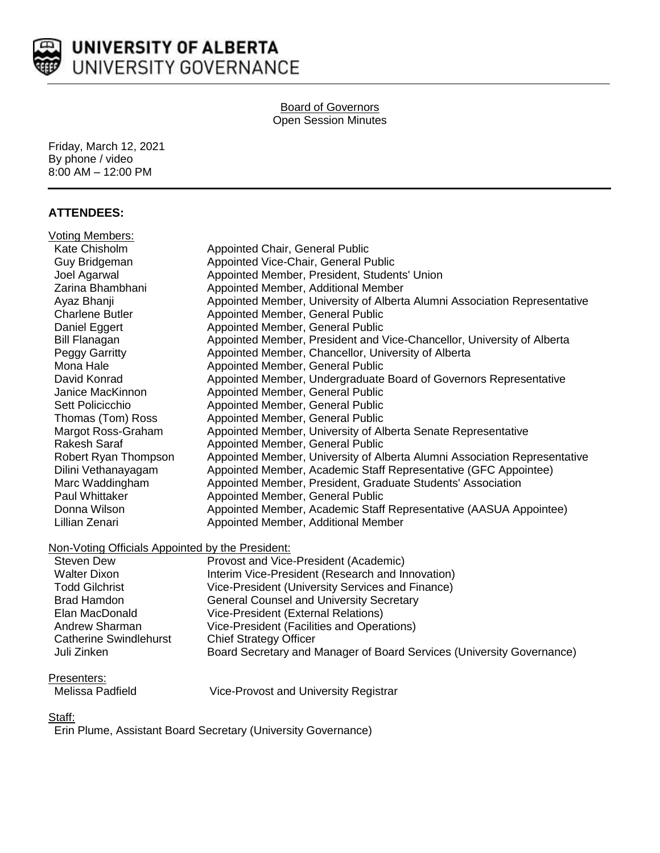

# UNIVERSITY OF ALBERTA UNIVERSITY GOVERNANCE

#### Board of Governors Open Session Minutes

Friday, March 12, 2021 By phone / video 8:00 AM – 12:00 PM

# **ATTENDEES:**

| Voting Members:        |                                                                           |
|------------------------|---------------------------------------------------------------------------|
| Kate Chisholm          | Appointed Chair, General Public                                           |
| Guy Bridgeman          | Appointed Vice-Chair, General Public                                      |
| Joel Agarwal           | Appointed Member, President, Students' Union                              |
| Zarina Bhambhani       | Appointed Member, Additional Member                                       |
| Ayaz Bhanji            | Appointed Member, University of Alberta Alumni Association Representative |
| <b>Charlene Butler</b> | Appointed Member, General Public                                          |
| Daniel Eggert          | Appointed Member, General Public                                          |
| <b>Bill Flanagan</b>   | Appointed Member, President and Vice-Chancellor, University of Alberta    |
| Peggy Garritty         | Appointed Member, Chancellor, University of Alberta                       |
| Mona Hale              | Appointed Member, General Public                                          |
| David Konrad           | Appointed Member, Undergraduate Board of Governors Representative         |
| Janice MacKinnon       | Appointed Member, General Public                                          |
| Sett Policicchio       | Appointed Member, General Public                                          |
| Thomas (Tom) Ross      | Appointed Member, General Public                                          |
| Margot Ross-Graham     | Appointed Member, University of Alberta Senate Representative             |
| Rakesh Saraf           | Appointed Member, General Public                                          |
| Robert Ryan Thompson   | Appointed Member, University of Alberta Alumni Association Representative |
| Dilini Vethanayagam    | Appointed Member, Academic Staff Representative (GFC Appointee)           |
| Marc Waddingham        | Appointed Member, President, Graduate Students' Association               |
| Paul Whittaker         | Appointed Member, General Public                                          |
| Donna Wilson           | Appointed Member, Academic Staff Representative (AASUA Appointee)         |
| Lillian Zenari         | Appointed Member, Additional Member                                       |
|                        |                                                                           |

## Non-Voting Officials Appointed by the President:

| Steven Dew                    | Provost and Vice-President (Academic)                                 |
|-------------------------------|-----------------------------------------------------------------------|
| <b>Walter Dixon</b>           | Interim Vice-President (Research and Innovation)                      |
| <b>Todd Gilchrist</b>         | Vice-President (University Services and Finance)                      |
| <b>Brad Hamdon</b>            | <b>General Counsel and University Secretary</b>                       |
| Elan MacDonald                | Vice-President (External Relations)                                   |
| Andrew Sharman                | Vice-President (Facilities and Operations)                            |
| <b>Catherine Swindlehurst</b> | <b>Chief Strategy Officer</b>                                         |
| Juli Zinken                   | Board Secretary and Manager of Board Services (University Governance) |

## Presenters:

Vice-Provost and University Registrar

# Staff:

Erin Plume, Assistant Board Secretary (University Governance)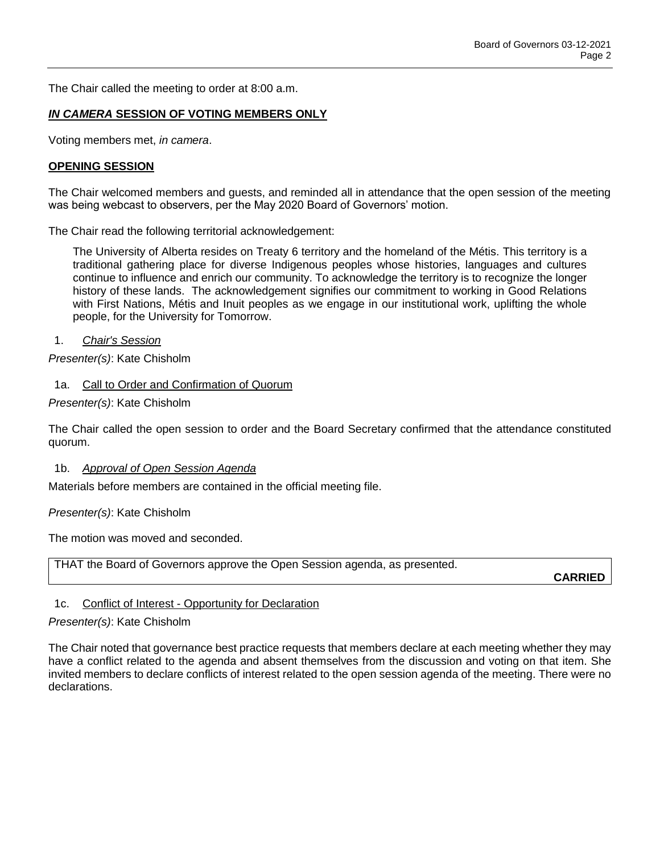The Chair called the meeting to order at 8:00 a.m.

### *IN CAMERA* **SESSION OF VOTING MEMBERS ONLY**

Voting members met, *in camera*.

#### **OPENING SESSION**

The Chair welcomed members and guests, and reminded all in attendance that the open session of the meeting was being webcast to observers, per the May 2020 Board of Governors' motion.

The Chair read the following territorial acknowledgement:

The University of Alberta resides on Treaty 6 territory and the homeland of the Métis. This territory is a traditional gathering place for diverse Indigenous peoples whose histories, languages and cultures continue to influence and enrich our community. To acknowledge the territory is to recognize the longer history of these lands. The acknowledgement signifies our commitment to working in Good Relations with First Nations, Métis and Inuit peoples as we engage in our institutional work, uplifting the whole people, for the University for Tomorrow.

1. *Chair's Session*

*Presenter(s)*: Kate Chisholm

1a. Call to Order and Confirmation of Quorum

*Presenter(s)*: Kate Chisholm

The Chair called the open session to order and the Board Secretary confirmed that the attendance constituted quorum.

1b. *Approval of Open Session Agenda*

Materials before members are contained in the official meeting file.

*Presenter(s)*: Kate Chisholm

The motion was moved and seconded.

THAT the Board of Governors approve the Open Session agenda, as presented.

**CARRIED**

# 1c. Conflict of Interest - Opportunity for Declaration

#### *Presenter(s)*: Kate Chisholm

The Chair noted that governance best practice requests that members declare at each meeting whether they may have a conflict related to the agenda and absent themselves from the discussion and voting on that item. She invited members to declare conflicts of interest related to the open session agenda of the meeting. There were no declarations.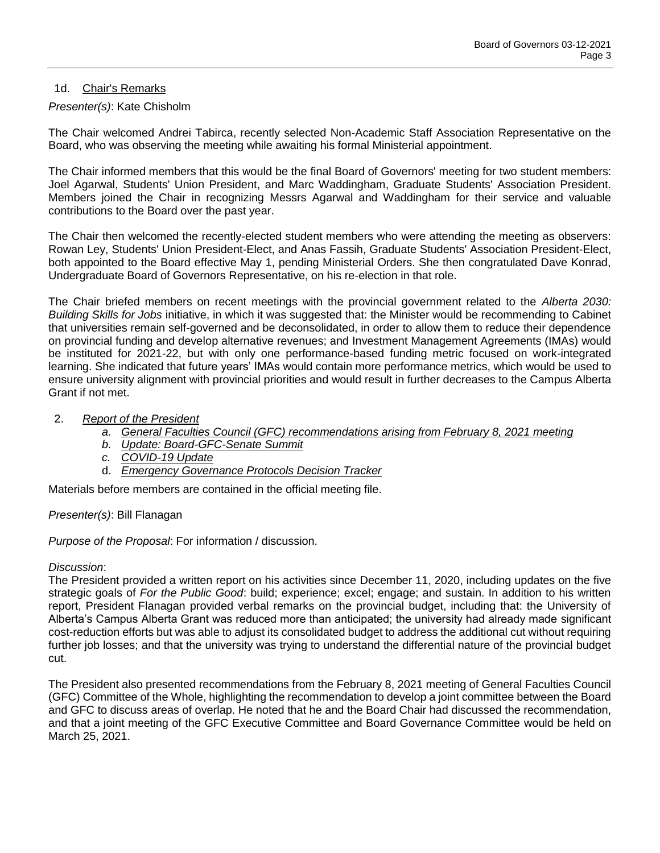## 1d. Chair's Remarks

## *Presenter(s)*: Kate Chisholm

The Chair welcomed Andrei Tabirca, recently selected Non-Academic Staff Association Representative on the Board, who was observing the meeting while awaiting his formal Ministerial appointment.

The Chair informed members that this would be the final Board of Governors' meeting for two student members: Joel Agarwal, Students' Union President, and Marc Waddingham, Graduate Students' Association President. Members joined the Chair in recognizing Messrs Agarwal and Waddingham for their service and valuable contributions to the Board over the past year.

The Chair then welcomed the recently-elected student members who were attending the meeting as observers: Rowan Ley, Students' Union President-Elect, and Anas Fassih, Graduate Students' Association President-Elect, both appointed to the Board effective May 1, pending Ministerial Orders. She then congratulated Dave Konrad, Undergraduate Board of Governors Representative, on his re-election in that role.

The Chair briefed members on recent meetings with the provincial government related to the *Alberta 2030: Building Skills for Jobs* initiative, in which it was suggested that: the Minister would be recommending to Cabinet that universities remain self-governed and be deconsolidated, in order to allow them to reduce their dependence on provincial funding and develop alternative revenues; and Investment Management Agreements (IMAs) would be instituted for 2021-22, but with only one performance-based funding metric focused on work-integrated learning. She indicated that future years' IMAs would contain more performance metrics, which would be used to ensure university alignment with provincial priorities and would result in further decreases to the Campus Alberta Grant if not met.

## 2. *Report of the President*

- *a. General Faculties Council (GFC) recommendations arising from February 8, 2021 meeting*
- *b. Update: Board-GFC-Senate Summit*
- *c. COVID-19 Update*
- d. *Emergency Governance Protocols Decision Tracker*

Materials before members are contained in the official meeting file.

# *Presenter(s)*: Bill Flanagan

*Purpose of the Proposal*: For information / discussion.

## *Discussion*:

The President provided a written report on his activities since December 11, 2020, including updates on the five strategic goals of *For the Public Good*: build; experience; excel; engage; and sustain. In addition to his written report, President Flanagan provided verbal remarks on the provincial budget, including that: the University of Alberta's Campus Alberta Grant was reduced more than anticipated; the university had already made significant cost-reduction efforts but was able to adjust its consolidated budget to address the additional cut without requiring further job losses; and that the university was trying to understand the differential nature of the provincial budget cut.

The President also presented recommendations from the February 8, 2021 meeting of General Faculties Council (GFC) Committee of the Whole, highlighting the recommendation to develop a joint committee between the Board and GFC to discuss areas of overlap. He noted that he and the Board Chair had discussed the recommendation, and that a joint meeting of the GFC Executive Committee and Board Governance Committee would be held on March 25, 2021.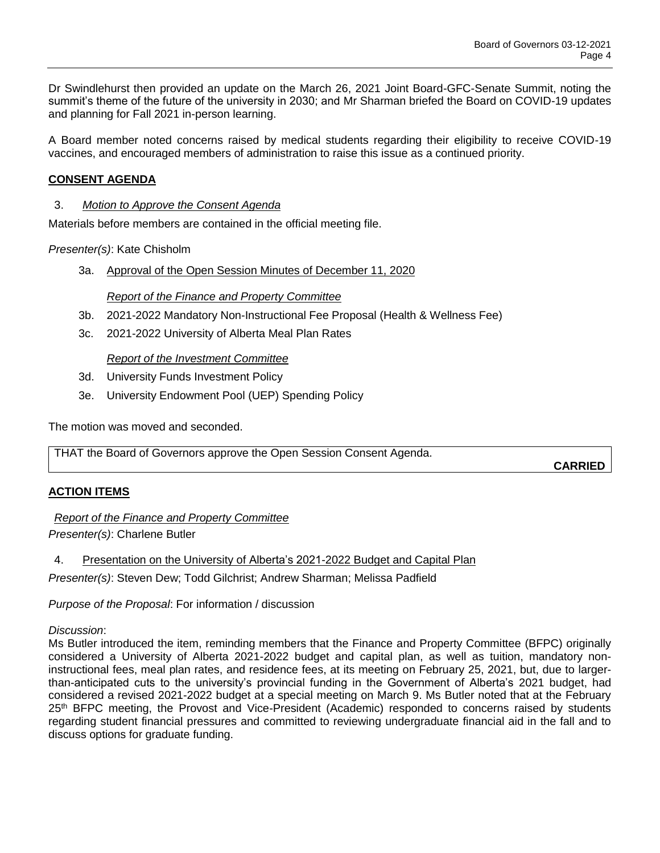Dr Swindlehurst then provided an update on the March 26, 2021 Joint Board-GFC-Senate Summit, noting the summit's theme of the future of the university in 2030; and Mr Sharman briefed the Board on COVID-19 updates and planning for Fall 2021 in-person learning.

A Board member noted concerns raised by medical students regarding their eligibility to receive COVID-19 vaccines, and encouraged members of administration to raise this issue as a continued priority.

## **CONSENT AGENDA**

## 3. *Motion to Approve the Consent Agenda*

Materials before members are contained in the official meeting file.

*Presenter(s)*: Kate Chisholm

3a. Approval of the Open Session Minutes of December 11, 2020

## *Report of the Finance and Property Committee*

- 3b. 2021-2022 Mandatory Non-Instructional Fee Proposal (Health & Wellness Fee)
- 3c. 2021-2022 University of Alberta Meal Plan Rates

## *Report of the Investment Committee*

- 3d. University Funds Investment Policy
- 3e. University Endowment Pool (UEP) Spending Policy

The motion was moved and seconded.

THAT the Board of Governors approve the Open Session Consent Agenda.

**CARRIED**

## **ACTION ITEMS**

*Report of the Finance and Property Committee Presenter(s)*: Charlene Butler

4. Presentation on the University of Alberta's 2021-2022 Budget and Capital Plan

*Presenter(s)*: Steven Dew; Todd Gilchrist; Andrew Sharman; Melissa Padfield

*Purpose of the Proposal*: For information / discussion

*Discussion*:

Ms Butler introduced the item, reminding members that the Finance and Property Committee (BFPC) originally considered a University of Alberta 2021-2022 budget and capital plan, as well as tuition, mandatory noninstructional fees, meal plan rates, and residence fees, at its meeting on February 25, 2021, but, due to largerthan-anticipated cuts to the university's provincial funding in the Government of Alberta's 2021 budget, had considered a revised 2021-2022 budget at a special meeting on March 9. Ms Butler noted that at the February 25<sup>th</sup> BFPC meeting, the Provost and Vice-President (Academic) responded to concerns raised by students regarding student financial pressures and committed to reviewing undergraduate financial aid in the fall and to discuss options for graduate funding.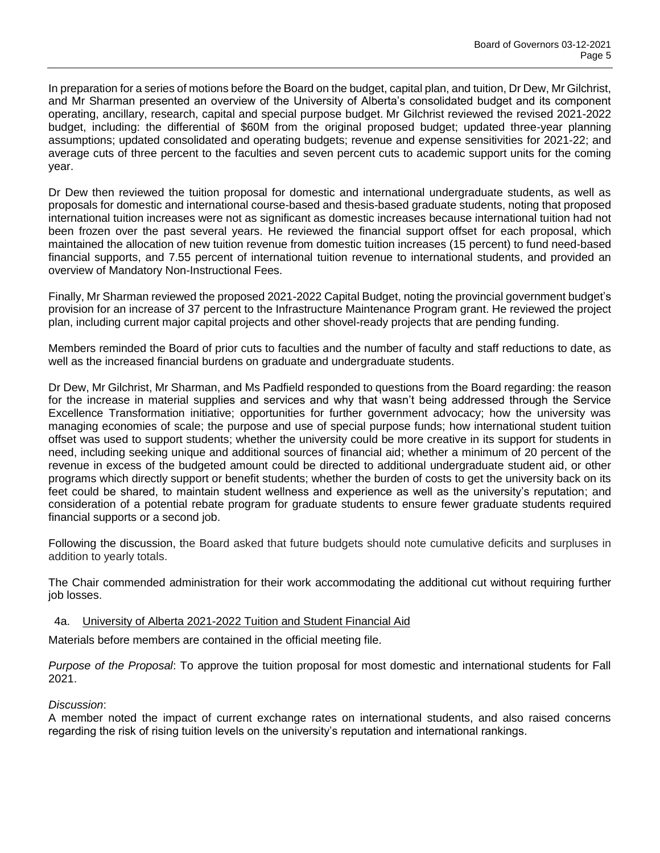In preparation for a series of motions before the Board on the budget, capital plan, and tuition, Dr Dew, Mr Gilchrist, and Mr Sharman presented an overview of the University of Alberta's consolidated budget and its component operating, ancillary, research, capital and special purpose budget. Mr Gilchrist reviewed the revised 2021-2022 budget, including: the differential of \$60M from the original proposed budget; updated three-year planning assumptions; updated consolidated and operating budgets; revenue and expense sensitivities for 2021-22; and average cuts of three percent to the faculties and seven percent cuts to academic support units for the coming year.

Dr Dew then reviewed the tuition proposal for domestic and international undergraduate students, as well as proposals for domestic and international course-based and thesis-based graduate students, noting that proposed international tuition increases were not as significant as domestic increases because international tuition had not been frozen over the past several years. He reviewed the financial support offset for each proposal, which maintained the allocation of new tuition revenue from domestic tuition increases (15 percent) to fund need-based financial supports, and 7.55 percent of international tuition revenue to international students, and provided an overview of Mandatory Non-Instructional Fees.

Finally, Mr Sharman reviewed the proposed 2021-2022 Capital Budget, noting the provincial government budget's provision for an increase of 37 percent to the Infrastructure Maintenance Program grant. He reviewed the project plan, including current major capital projects and other shovel-ready projects that are pending funding.

Members reminded the Board of prior cuts to faculties and the number of faculty and staff reductions to date, as well as the increased financial burdens on graduate and undergraduate students.

Dr Dew, Mr Gilchrist, Mr Sharman, and Ms Padfield responded to questions from the Board regarding: the reason for the increase in material supplies and services and why that wasn't being addressed through the Service Excellence Transformation initiative; opportunities for further government advocacy; how the university was managing economies of scale; the purpose and use of special purpose funds; how international student tuition offset was used to support students; whether the university could be more creative in its support for students in need, including seeking unique and additional sources of financial aid; whether a minimum of 20 percent of the revenue in excess of the budgeted amount could be directed to additional undergraduate student aid, or other programs which directly support or benefit students; whether the burden of costs to get the university back on its feet could be shared, to maintain student wellness and experience as well as the university's reputation; and consideration of a potential rebate program for graduate students to ensure fewer graduate students required financial supports or a second job.

Following the discussion, the Board asked that future budgets should note cumulative deficits and surpluses in addition to yearly totals.

The Chair commended administration for their work accommodating the additional cut without requiring further job losses.

## 4a. University of Alberta 2021-2022 Tuition and Student Financial Aid

Materials before members are contained in the official meeting file.

*Purpose of the Proposal*: To approve the tuition proposal for most domestic and international students for Fall 2021.

## *Discussion*:

A member noted the impact of current exchange rates on international students, and also raised concerns regarding the risk of rising tuition levels on the university's reputation and international rankings.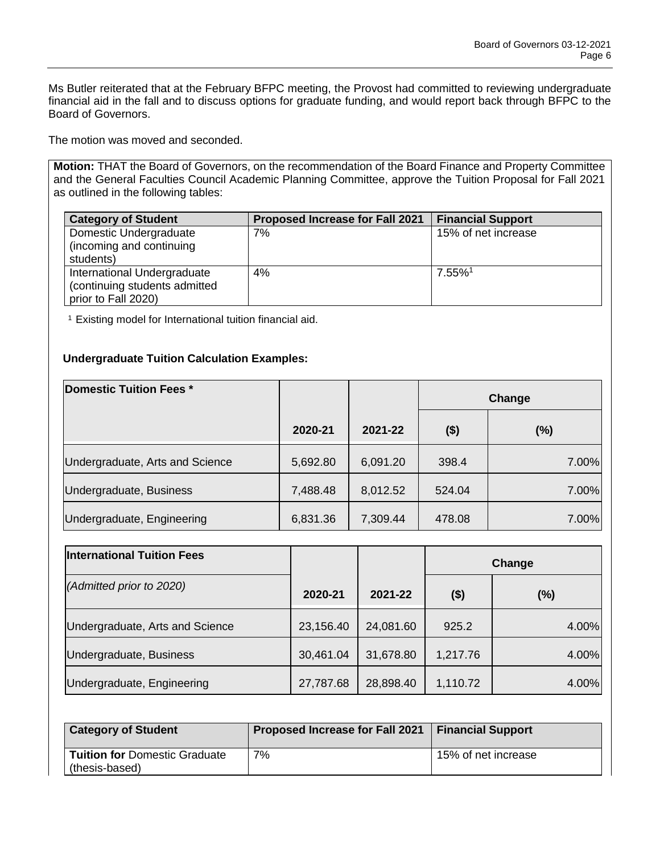Ms Butler reiterated that at the February BFPC meeting, the Provost had committed to reviewing undergraduate financial aid in the fall and to discuss options for graduate funding, and would report back through BFPC to the Board of Governors.

The motion was moved and seconded.

**Motion:** THAT the Board of Governors, on the recommendation of the Board Finance and Property Committee and the General Faculties Council Academic Planning Committee, approve the Tuition Proposal for Fall 2021 as outlined in the following tables:

| <b>Category of Student</b>                                   | Proposed Increase for Fall 2021 | <b>Financial Support</b> |
|--------------------------------------------------------------|---------------------------------|--------------------------|
| Domestic Undergraduate                                       | 7%                              | 15% of net increase      |
| (incoming and continuing                                     |                                 |                          |
| students)                                                    |                                 |                          |
| International Undergraduate<br>(continuing students admitted | 4%                              | 7.55%1                   |
| prior to Fall 2020)                                          |                                 |                          |

<sup>1</sup> Existing model for International tuition financial aid.

# **Undergraduate Tuition Calculation Examples:**

| Domestic Tuition Fees *         |          |          | Change  |       |
|---------------------------------|----------|----------|---------|-------|
|                                 | 2020-21  | 2021-22  | $($ \$) | (%)   |
| Undergraduate, Arts and Science | 5,692.80 | 6,091.20 | 398.4   | 7.00% |
| Undergraduate, Business         | 7,488.48 | 8,012.52 | 524.04  | 7.00% |
| Undergraduate, Engineering      | 6,831.36 | 7,309.44 | 478.08  | 7.00% |

| <b>International Tuition Fees</b> |           |           | Change   |       |
|-----------------------------------|-----------|-----------|----------|-------|
| (Admitted prior to 2020)          | 2020-21   | 2021-22   | $($ \$)  | (%)   |
| Undergraduate, Arts and Science   | 23,156.40 | 24,081.60 | 925.2    | 4.00% |
| Undergraduate, Business           | 30,461.04 | 31,678.80 | 1,217.76 | 4.00% |
| Undergraduate, Engineering        | 27,787.68 | 28,898.40 | 1,110.72 | 4.00% |

| <b>Category of Student</b>                             | Proposed Increase for Fall 2021   Financial Support |                     |
|--------------------------------------------------------|-----------------------------------------------------|---------------------|
| <b>Tuition for Domestic Graduate</b><br>(thesis-based) | 7%                                                  | 15% of net increase |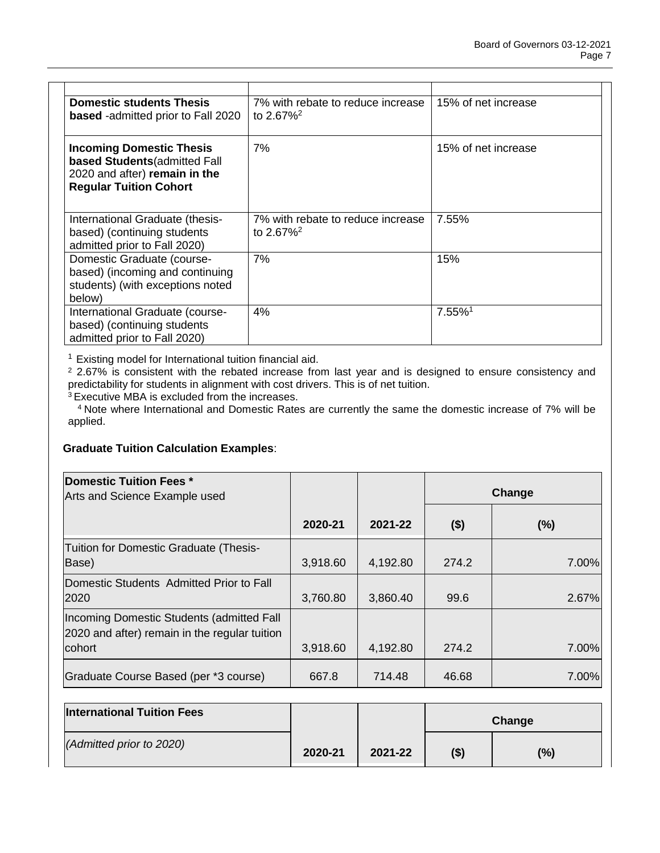| <b>Domestic students Thesis</b><br>based -admitted prior to Fall 2020                                                              | 7% with rebate to reduce increase<br>to $2.67\%^2$ | 15% of net increase |
|------------------------------------------------------------------------------------------------------------------------------------|----------------------------------------------------|---------------------|
| <b>Incoming Domestic Thesis</b><br>based Students (admitted Fall<br>2020 and after) remain in the<br><b>Regular Tuition Cohort</b> | 7%                                                 | 15% of net increase |
| International Graduate (thesis-<br>based) (continuing students<br>admitted prior to Fall 2020)                                     | 7% with rebate to reduce increase<br>to $2.67\%^2$ | 7.55%               |
| Domestic Graduate (course-<br>based) (incoming and continuing<br>students) (with exceptions noted<br>below)                        | 7%                                                 | 15%                 |
| International Graduate (course-<br>based) (continuing students<br>admitted prior to Fall 2020)                                     | 4%                                                 | 7.55%1              |

<sup>1</sup> Existing model for International tuition financial aid.

<sup>2</sup> 2.67% is consistent with the rebated increase from last year and is designed to ensure consistency and predictability for students in alignment with cost drivers. This is of net tuition.

<sup>3</sup> Executive MBA is excluded from the increases.

<sup>4</sup>Note where International and Domestic Rates are currently the same the domestic increase of 7% will be applied.

## **Graduate Tuition Calculation Examples**:

|          |                   | Change             |                |
|----------|-------------------|--------------------|----------------|
| 2020-21  | 2021-22           | $($ \$)            | (%)            |
| 3,918.60 | 4,192.80          | 274.2              | 7.00%          |
| 3,760.80 | 3,860.40          | 99.6               | 2.67%          |
|          |                   |                    |                |
|          |                   |                    | 7.00%<br>7.00% |
|          | 3,918.60<br>667.8 | 4,192.80<br>714.48 | 274.2<br>46.68 |

| <b>International Tuition Fees</b> |         |         | Change |     |
|-----------------------------------|---------|---------|--------|-----|
| (Admitted prior to 2020)          | 2020-21 | 2021-22 | (\$)   | (%) |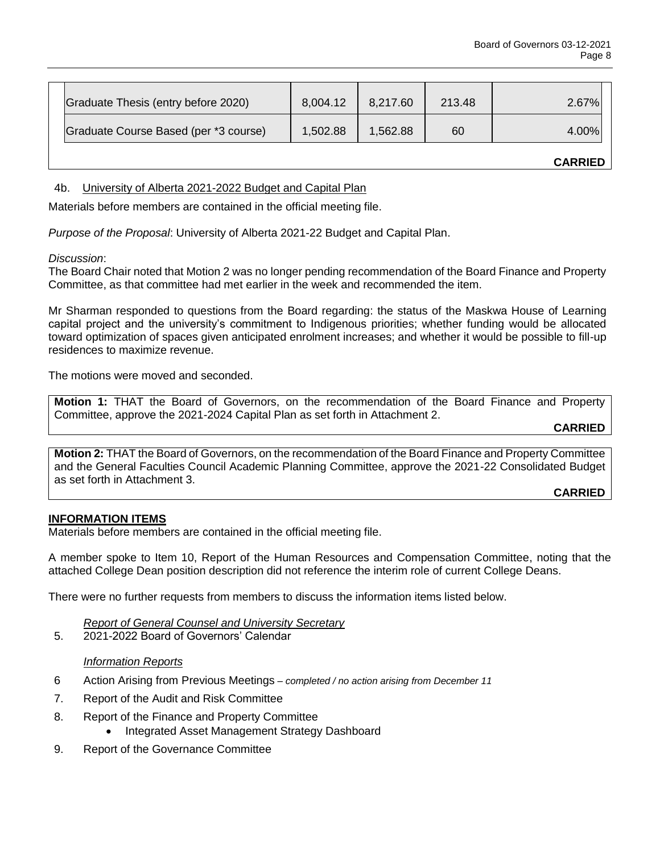|                                       |          |          |        | <b>CARRIED</b> |
|---------------------------------------|----------|----------|--------|----------------|
| Graduate Course Based (per *3 course) | 1,502.88 | 1,562.88 | 60     | 4.00%          |
| Graduate Thesis (entry before 2020)   | 8,004.12 | 8,217.60 | 213.48 | 2.67%          |

4b. University of Alberta 2021-2022 Budget and Capital Plan

Materials before members are contained in the official meeting file.

*Purpose of the Proposal*: University of Alberta 2021-22 Budget and Capital Plan.

## *Discussion*:

The Board Chair noted that Motion 2 was no longer pending recommendation of the Board Finance and Property Committee, as that committee had met earlier in the week and recommended the item.

Mr Sharman responded to questions from the Board regarding: the status of the Maskwa House of Learning capital project and the university's commitment to Indigenous priorities; whether funding would be allocated toward optimization of spaces given anticipated enrolment increases; and whether it would be possible to fill-up residences to maximize revenue.

The motions were moved and seconded.

**Motion 1:** THAT the Board of Governors, on the recommendation of the Board Finance and Property Committee, approve the 2021-2024 Capital Plan as set forth in Attachment 2.

**CARRIED**

**Motion 2:** THAT the Board of Governors, on the recommendation of the Board Finance and Property Committee and the General Faculties Council Academic Planning Committee, approve the 2021-22 Consolidated Budget as set forth in Attachment 3.

**CARRIED**

## **INFORMATION ITEMS**

Materials before members are contained in the official meeting file.

A member spoke to Item 10, Report of the Human Resources and Compensation Committee, noting that the attached College Dean position description did not reference the interim role of current College Deans.

There were no further requests from members to discuss the information items listed below.

*Report of General Counsel and University Secretary*

5. 2021-2022 Board of Governors' Calendar

## *Information Reports*

- 6 Action Arising from Previous Meetings *– completed / no action arising from December 11*
- 7. Report of the Audit and Risk Committee
- 8. Report of the Finance and Property Committee
	- Integrated Asset Management Strategy Dashboard
- 9. Report of the Governance Committee